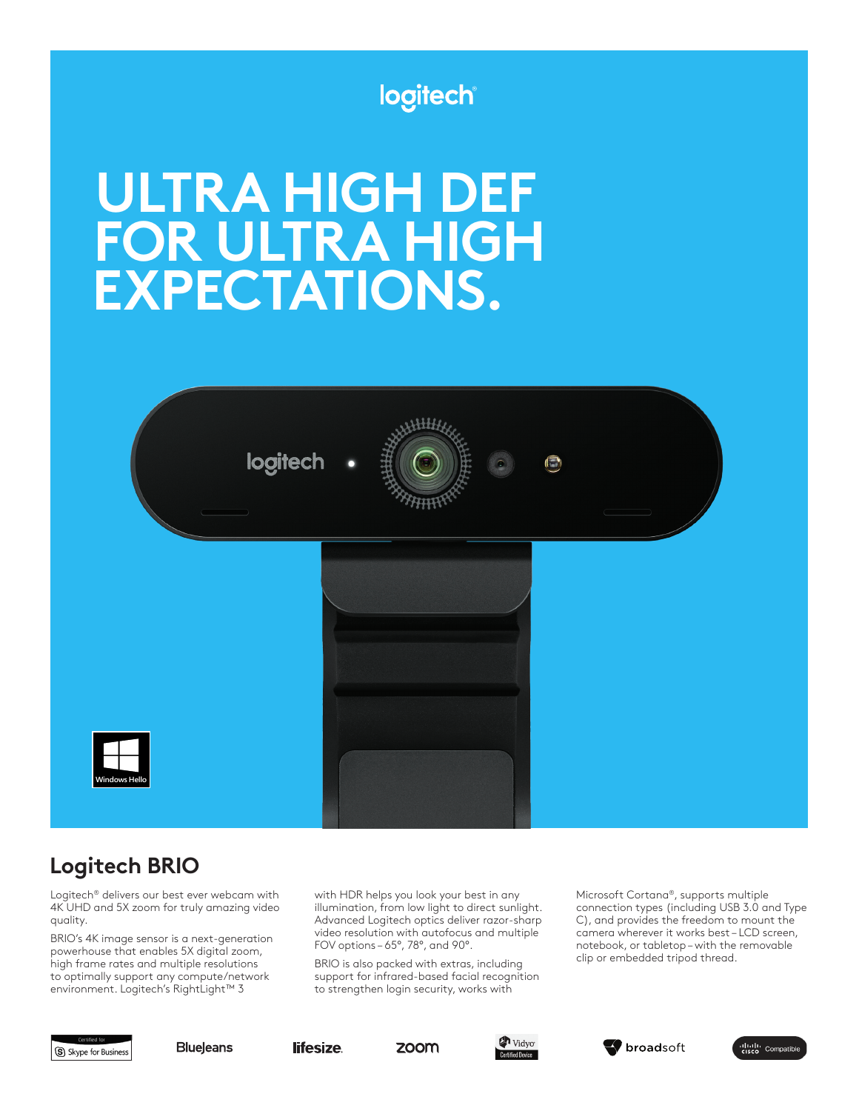# logitech

# **ULTRA HIGH DEF FOR ULTRA HIGH EXPECTATIONS.**



# **Logitech BRIO**

Logitech® delivers our best ever webcam with 4K UHD and 5X zoom for truly amazing video quality.

BRIO's 4K image sensor is a next-generation powerhouse that enables 5X digital zoom, high frame rates and multiple resolutions to optimally support any compute/network environment. Logitech's RightLight™ 3

with HDR helps you look your best in any illumination, from low light to direct sunlight. Advanced Logitech optics deliver razor-sharp video resolution with autofocus and multiple FOV options – 65°, 78°, and 90°.

BRIO is also packed with extras, including support for infrared-based facial recognition to strengthen login security, works with

Microsoft Cortana®, supports multiple connection types (including USB 3.0 and Type C), and provides the freedom to mount the camera wherever it works best – LCD screen, notebook, or tabletop – with the removable clip or embedded tripod thread.



**BlueJeans**